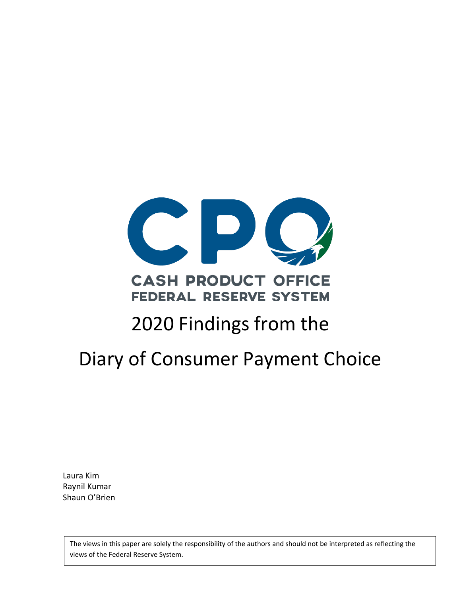

## **CASH PRODUCT OFFICE FEDERAL RESERVE SYSTEM**

# 2020 Findings from the

# Diary of Consumer Payment Choice

Laura Kim Raynil Kumar Shaun O'Brien

> The views in this paper are solely the responsibility of the authors and should not be interpreted as reflecting the views of the Federal Reserve System.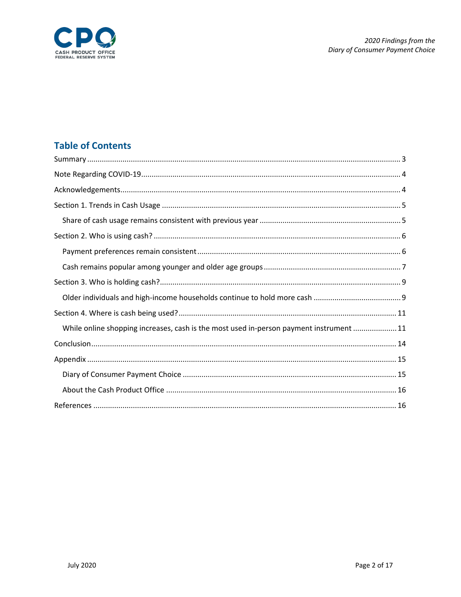

## **Table of Contents**

| While online shopping increases, cash is the most used in-person payment instrument  11 |
|-----------------------------------------------------------------------------------------|
|                                                                                         |
|                                                                                         |
|                                                                                         |
|                                                                                         |
|                                                                                         |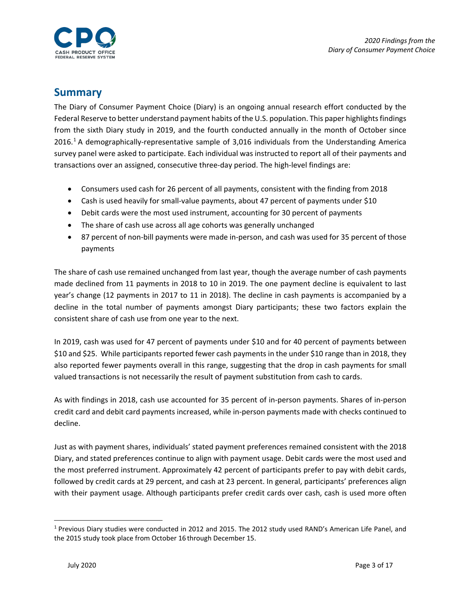

## <span id="page-2-0"></span>**Summary**

The Diary of Consumer Payment Choice (Diary) is an ongoing annual research effort conducted by the Federal Reserve to better understand payment habits of the U.S. population. This paper highlights findings from the sixth Diary study in 2019, and the fourth conducted annually in the month of October since 20[1](#page-2-1)6.<sup>1</sup> A demographically-representative sample of 3,016 individuals from the Understanding America survey panel were asked to participate. Each individual was instructed to report all of their payments and transactions over an assigned, consecutive three-day period. The high-level findings are:

- Consumers used cash for 26 percent of all payments, consistent with the finding from 2018
- Cash is used heavily for small-value payments, about 47 percent of payments under \$10
- Debit cards were the most used instrument, accounting for 30 percent of payments
- The share of cash use across all age cohorts was generally unchanged
- 87 percent of non-bill payments were made in-person, and cash was used for 35 percent of those payments

The share of cash use remained unchanged from last year, though the average number of cash payments made declined from 11 payments in 2018 to 10 in 2019. The one payment decline is equivalent to last year's change (12 payments in 2017 to 11 in 2018). The decline in cash payments is accompanied by a decline in the total number of payments amongst Diary participants; these two factors explain the consistent share of cash use from one year to the next.

In 2019, cash was used for 47 percent of payments under \$10 and for 40 percent of payments between \$10 and \$25. While participants reported fewer cash payments in the under \$10 range than in 2018, they also reported fewer payments overall in this range, suggesting that the drop in cash payments for small valued transactions is not necessarily the result of payment substitution from cash to cards.

As with findings in 2018, cash use accounted for 35 percent of in-person payments. Shares of in-person credit card and debit card payments increased, while in-person payments made with checks continued to decline.

Just as with payment shares, individuals' stated payment preferences remained consistent with the 2018 Diary, and stated preferences continue to align with payment usage. Debit cards were the most used and the most preferred instrument. Approximately 42 percent of participants prefer to pay with debit cards, followed by credit cards at 29 percent, and cash at 23 percent. In general, participants' preferences align with their payment usage. Although participants prefer credit cards over cash, cash is used more often

<span id="page-2-1"></span> <sup>1</sup> Previous Diary studies were conducted in 2012 and 2015. The 2012 study used RAND's American Life Panel, and the 2015 study took place from October 16 through December 15.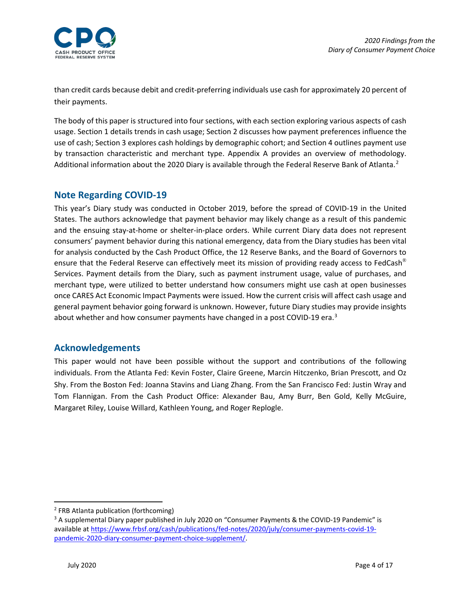

than credit cards because debit and credit-preferring individuals use cash for approximately 20 percent of their payments.

The body of this paper is structured into four sections, with each section exploring various aspects of cash usage. Section 1 details trends in cash usage; Section 2 discusses how payment preferences influence the use of cash; Section 3 explores cash holdings by demographic cohort; and Section 4 outlines payment use by transaction characteristic and merchant type. Appendix A provides an overview of methodology. Additional information about the [2](#page-3-2)020 Diary is available through the Federal Reserve Bank of Atlanta.<sup>2</sup>

#### <span id="page-3-0"></span>**Note Regarding COVID-19**

This year's Diary study was conducted in October 2019, before the spread of COVID-19 in the United States. The authors acknowledge that payment behavior may likely change as a result of this pandemic and the ensuing stay-at-home or shelter-in-place orders. While current Diary data does not represent consumers' payment behavior during this national emergency, data from the Diary studies has been vital for analysis conducted by the Cash Product Office, the 12 Reserve Banks, and the Board of Governors to ensure that the Federal Reserve can effectively meet its mission of providing ready access to FedCash<sup>®</sup> Services. Payment details from the Diary, such as payment instrument usage, value of purchases, and merchant type, were utilized to better understand how consumers might use cash at open businesses once CARES Act Economic Impact Payments were issued. How the current crisis will affect cash usage and general payment behavior going forward is unknown. However, future Diary studies may provide insights about whether and how consumer payments have changed in a post COVID-19 era.<sup>[3](#page-3-3)</sup>

#### <span id="page-3-1"></span>**Acknowledgements**

This paper would not have been possible without the support and contributions of the following individuals. From the Atlanta Fed: Kevin Foster, Claire Greene, Marcin Hitczenko, Brian Prescott, and Oz Shy. From the Boston Fed: Joanna Stavins and Liang Zhang. From the San Francisco Fed: Justin Wray and Tom Flannigan. From the Cash Product Office: Alexander Bau, Amy Burr, Ben Gold, Kelly McGuire, Margaret Riley, Louise Willard, Kathleen Young, and Roger Replogle.

<span id="page-3-2"></span> <sup>2</sup> FRB Atlanta publication (forthcoming)

<span id="page-3-3"></span><sup>&</sup>lt;sup>3</sup> A supplemental Diary paper published in July 2020 on "Consumer Payments & the COVID-19 Pandemic" is available a[t https://www.frbsf.org/cash/publications/fed-notes/2020/july/consumer-payments-covid-19](https://www.frbsf.org/cash/publications/fed-notes/2020/july/consumer-payments-covid-19-pandemic-2020-diary-consumer-payment-choice-supplement/) [pandemic-2020-diary-consumer-payment-choice-supplement/.](https://www.frbsf.org/cash/publications/fed-notes/2020/july/consumer-payments-covid-19-pandemic-2020-diary-consumer-payment-choice-supplement/)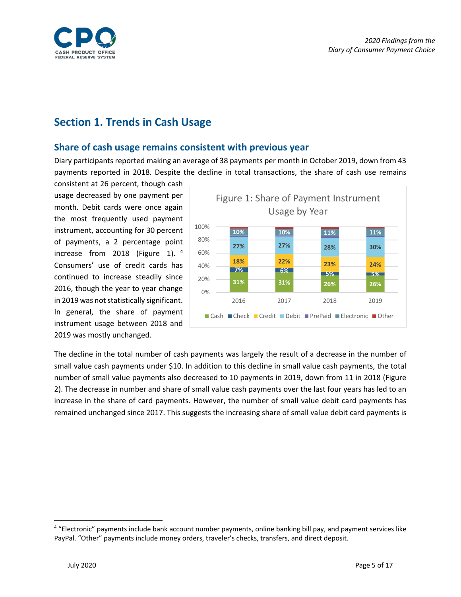

## <span id="page-4-0"></span>**Section 1. Trends in Cash Usage**

#### <span id="page-4-1"></span>**Share of cash usage remains consistent with previous year**

Diary participants reported making an average of 38 payments per month in October 2019, down from 43 payments reported in 2018. Despite the decline in total transactions, the share of cash use remains

consistent at 26 percent, though cash usage decreased by one payment per month. Debit cards were once again the most frequently used payment instrument, accounting for 30 percent of payments, a 2 percentage point increase from 2018 (Figure 1).  $4\overline{ }$  $4\overline{ }$ Consumers' use of credit cards has continued to increase steadily since 2016, though the year to year change in 2019 was not statistically significant. In general, the share of payment instrument usage between 2018 and 2019 was mostly unchanged.



The decline in the total number of cash payments was largely the result of a decrease in the number of small value cash payments under \$10. In addition to this decline in small value cash payments, the total number of small value payments also decreased to 10 payments in 2019, down from 11 in 2018 (Figure 2). The decrease in number and share of small value cash payments over the last four years has led to an increase in the share of card payments. However, the number of small value debit card payments has remained unchanged since 2017. This suggests the increasing share of small value debit card payments is

<span id="page-4-2"></span> <sup>4</sup> "Electronic" payments include bank account number payments, online banking bill pay, and payment services like PayPal. "Other" payments include money orders, traveler's checks, transfers, and direct deposit.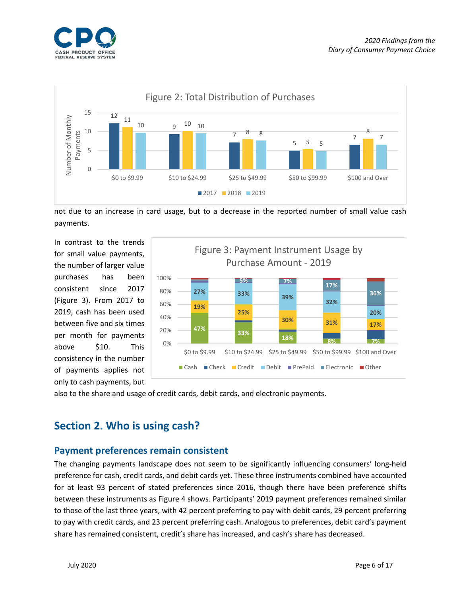



not due to an increase in card usage, but to a decrease in the reported number of small value cash payments.

In contrast to the trends for small value payments, the number of larger value purchases has been consistent since 2017 (Figure 3). From 2017 to 2019, cash has been used between five and six times per month for payments above \$10. This consistency in the number of payments applies not only to cash payments, but



also to the share and usage of credit cards, debit cards, and electronic payments.

## <span id="page-5-0"></span>**Section 2. Who is using cash?**

#### <span id="page-5-1"></span>**Payment preferences remain consistent**

The changing payments landscape does not seem to be significantly influencing consumers' long-held preference for cash, credit cards, and debit cards yet. These three instruments combined have accounted for at least 93 percent of stated preferences since 2016, though there have been preference shifts between these instruments as Figure 4 shows. Participants' 2019 payment preferences remained similar to those of the last three years, with 42 percent preferring to pay with debit cards, 29 percent preferring to pay with credit cards, and 23 percent preferring cash. Analogous to preferences, debit card's payment share has remained consistent, credit's share has increased, and cash's share has decreased.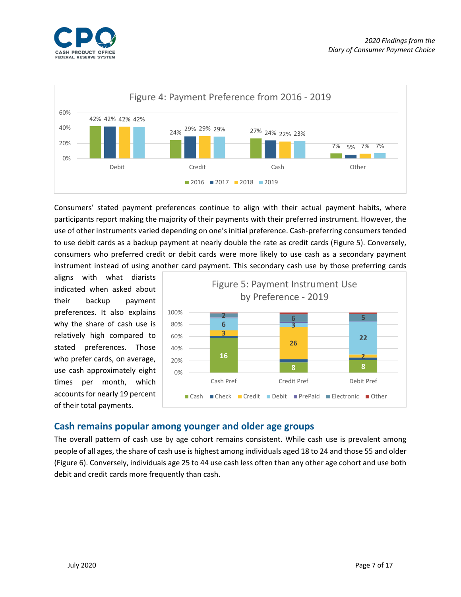



Consumers' stated payment preferences continue to align with their actual payment habits, where participants report making the majority of their payments with their preferred instrument. However, the use of other instruments varied depending on one's initial preference. Cash-preferring consumers tended to use debit cards as a backup payment at nearly double the rate as credit cards (Figure 5). Conversely, consumers who preferred credit or debit cards were more likely to use cash as a secondary payment instrument instead of using another card payment. This secondary cash use by those preferring cards

aligns with what diarists indicated when asked about their backup payment preferences. It also explains why the share of cash use is relatively high compared to stated preferences. Those who prefer cards, on average, use cash approximately eight times per month, which accounts for nearly 19 percent of their total payments.



#### <span id="page-6-0"></span>**Cash remains popular among younger and older age groups**

The overall pattern of cash use by age cohort remains consistent. While cash use is prevalent among people of all ages, the share of cash use is highest among individuals aged 18 to 24 and those 55 and older (Figure 6). Conversely, individuals age 25 to 44 use cash less often than any other age cohort and use both debit and credit cards more frequently than cash.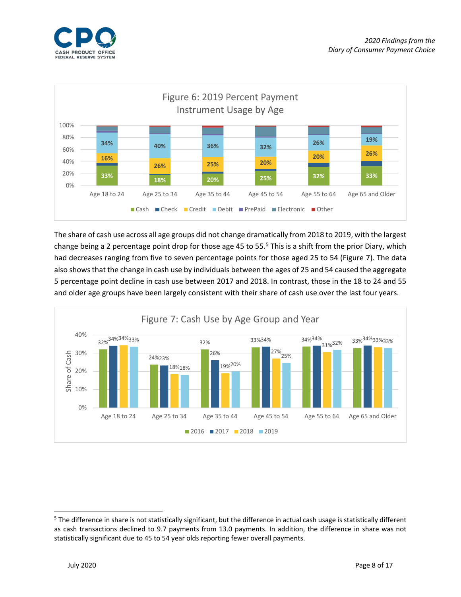



The share of cash use across all age groups did not change dramatically from 2018 to 2019, with the largest change being a 2 percentage point drop for those age 4[5](#page-7-0) to 55.<sup>5</sup> This is a shift from the prior Diary, which had decreases ranging from five to seven percentage points for those aged 25 to 54 (Figure 7). The data also shows that the change in cash use by individuals between the ages of 25 and 54 caused the aggregate 5 percentage point decline in cash use between 2017 and 2018. In contrast, those in the 18 to 24 and 55 and older age groups have been largely consistent with their share of cash use over the last four years.



<span id="page-7-0"></span> $5$  The difference in share is not statistically significant, but the difference in actual cash usage is statistically different as cash transactions declined to 9.7 payments from 13.0 payments. In addition, the difference in share was not statistically significant due to 45 to 54 year olds reporting fewer overall payments.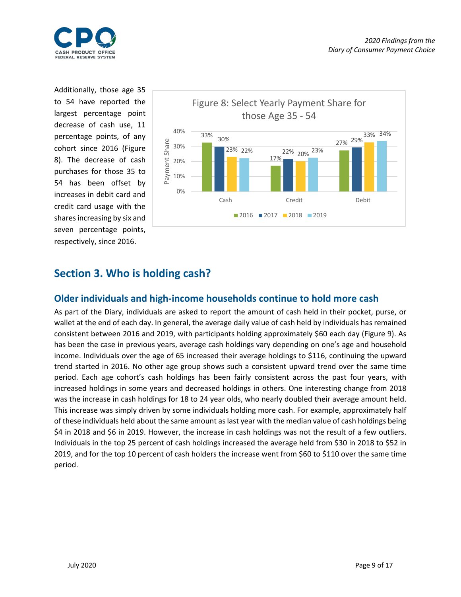

Additionally, those age 35 to 54 have reported the largest percentage point decrease of cash use, 11 percentage points, of any cohort since 2016 (Figure 8). The decrease of cash purchases for those 35 to 54 has been offset by increases in debit card and credit card usage with the shares increasing by six and seven percentage points, respectively, since 2016.



## <span id="page-8-0"></span>**Section 3. Who is holding cash?**

#### <span id="page-8-1"></span>**Older individuals and high-income households continue to hold more cash**

As part of the Diary, individuals are asked to report the amount of cash held in their pocket, purse, or wallet at the end of each day. In general, the average daily value of cash held by individuals has remained consistent between 2016 and 2019, with participants holding approximately \$60 each day (Figure 9). As has been the case in previous years, average cash holdings vary depending on one's age and household income. Individuals over the age of 65 increased their average holdings to \$116, continuing the upward trend started in 2016. No other age group shows such a consistent upward trend over the same time period. Each age cohort's cash holdings has been fairly consistent across the past four years, with increased holdings in some years and decreased holdings in others. One interesting change from 2018 was the increase in cash holdings for 18 to 24 year olds, who nearly doubled their average amount held. This increase was simply driven by some individuals holding more cash. For example, approximately half of these individuals held about the same amount as last year with the median value of cash holdings being \$4 in 2018 and \$6 in 2019. However, the increase in cash holdings was not the result of a few outliers. Individuals in the top 25 percent of cash holdings increased the average held from \$30 in 2018 to \$52 in 2019, and for the top 10 percent of cash holders the increase went from \$60 to \$110 over the same time period.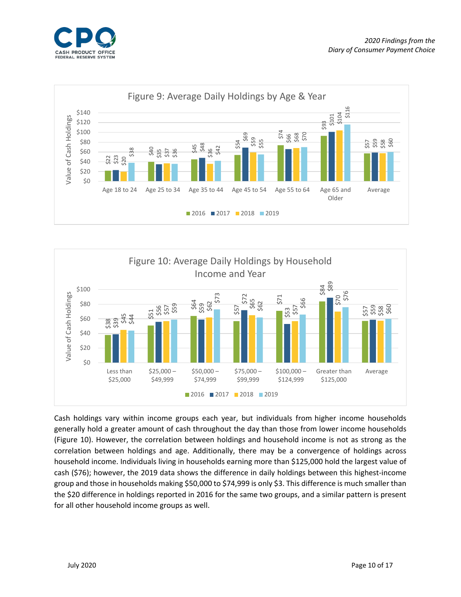





Cash holdings vary within income groups each year, but individuals from higher income households generally hold a greater amount of cash throughout the day than those from lower income households (Figure 10). However, the correlation between holdings and household income is not as strong as the correlation between holdings and age. Additionally, there may be a convergence of holdings across household income. Individuals living in households earning more than \$125,000 hold the largest value of cash (\$76); however, the 2019 data shows the difference in daily holdings between this highest-income group and those in households making \$50,000 to \$74,999 is only \$3. This difference is much smaller than the \$20 difference in holdings reported in 2016 for the same two groups, and a similar pattern is present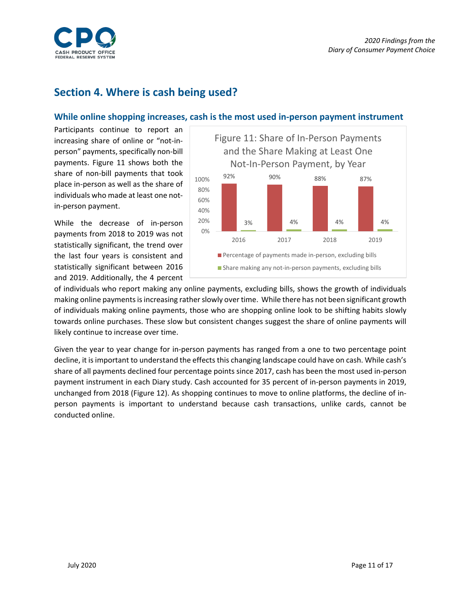

## <span id="page-10-0"></span>**Section 4. Where is cash being used?**

#### <span id="page-10-1"></span>**While online shopping increases, cash is the most used in-person payment instrument**

Participants continue to report an increasing share of online or "not-inperson" payments, specifically non-bill payments. Figure 11 shows both the share of non-bill payments that took place in-person as well as the share of individuals who made at least one notin-person payment.

While the decrease of in-person payments from 2018 to 2019 was not statistically significant, the trend over the last four years is consistent and statistically significant between 2016 and 2019. Additionally, the 4 percent



of individuals who report making any online payments, excluding bills, shows the growth of individuals making online payments is increasing rather slowly over time. While there has not been significant growth of individuals making online payments, those who are shopping online look to be shifting habits slowly towards online purchases. These slow but consistent changes suggest the share of online payments will likely continue to increase over time.

Given the year to year change for in-person payments has ranged from a one to two percentage point decline, it is important to understand the effects this changing landscape could have on cash. While cash's share of all payments declined four percentage points since 2017, cash has been the most used in-person payment instrument in each Diary study. Cash accounted for 35 percent of in-person payments in 2019, unchanged from 2018 (Figure 12). As shopping continues to move to online platforms, the decline of inperson payments is important to understand because cash transactions, unlike cards, cannot be conducted online.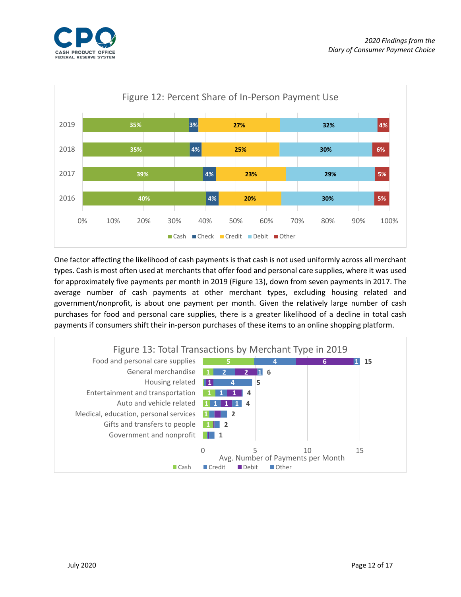



One factor affecting the likelihood of cash payments is that cash is not used uniformly across all merchant types. Cash is most often used at merchants that offer food and personal care supplies, where it was used for approximately five payments per month in 2019 (Figure 13), down from seven payments in 2017. The average number of cash payments at other merchant types, excluding housing related and government/nonprofit, is about one payment per month. Given the relatively large number of cash purchases for food and personal care supplies, there is a greater likelihood of a decline in total cash payments if consumers shift their in-person purchases of these items to an online shopping platform.

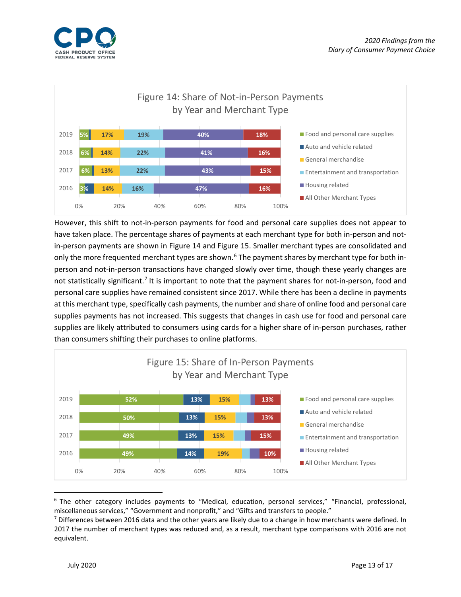



However, this shift to not-in-person payments for food and personal care supplies does not appear to have taken place. The percentage shares of payments at each merchant type for both in-person and notin-person payments are shown in Figure 14 and Figure 15. Smaller merchant types are consolidated and only the more frequented merchant types are shown.<sup>[6](#page-12-0)</sup> The payment shares by merchant type for both inperson and not-in-person transactions have changed slowly over time, though these yearly changes are not statistically significant.<sup>[7](#page-12-1)</sup> It is important to note that the payment shares for not-in-person, food and personal care supplies have remained consistent since 2017. While there has been a decline in payments at this merchant type, specifically cash payments, the number and share of online food and personal care supplies payments has not increased. This suggests that changes in cash use for food and personal care supplies are likely attributed to consumers using cards for a higher share of in-person purchases, rather than consumers shifting their purchases to online platforms.



<span id="page-12-0"></span> <sup>6</sup> The other category includes payments to "Medical, education, personal services," "Financial, professional, miscellaneous services," "Government and nonprofit," and "Gifts and transfers to people."

<span id="page-12-1"></span> $7$  Differences between 2016 data and the other years are likely due to a change in how merchants were defined. In 2017 the number of merchant types was reduced and, as a result, merchant type comparisons with 2016 are not equivalent.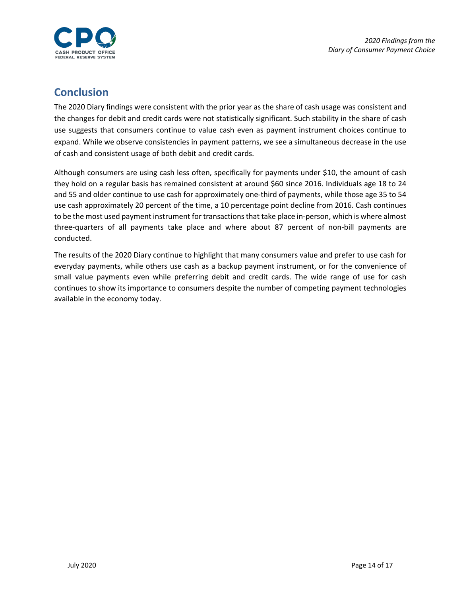

## <span id="page-13-0"></span>**Conclusion**

The 2020 Diary findings were consistent with the prior year as the share of cash usage was consistent and the changes for debit and credit cards were not statistically significant. Such stability in the share of cash use suggests that consumers continue to value cash even as payment instrument choices continue to expand. While we observe consistencies in payment patterns, we see a simultaneous decrease in the use of cash and consistent usage of both debit and credit cards.

Although consumers are using cash less often, specifically for payments under \$10, the amount of cash they hold on a regular basis has remained consistent at around \$60 since 2016. Individuals age 18 to 24 and 55 and older continue to use cash for approximately one-third of payments, while those age 35 to 54 use cash approximately 20 percent of the time, a 10 percentage point decline from 2016. Cash continues to be the most used payment instrument for transactions that take place in-person, which is where almost three-quarters of all payments take place and where about 87 percent of non-bill payments are conducted.

<span id="page-13-1"></span>The results of the 2020 Diary continue to highlight that many consumers value and prefer to use cash for everyday payments, while others use cash as a backup payment instrument, or for the convenience of small value payments even while preferring debit and credit cards. The wide range of use for cash continues to show its importance to consumers despite the number of competing payment technologies available in the economy today.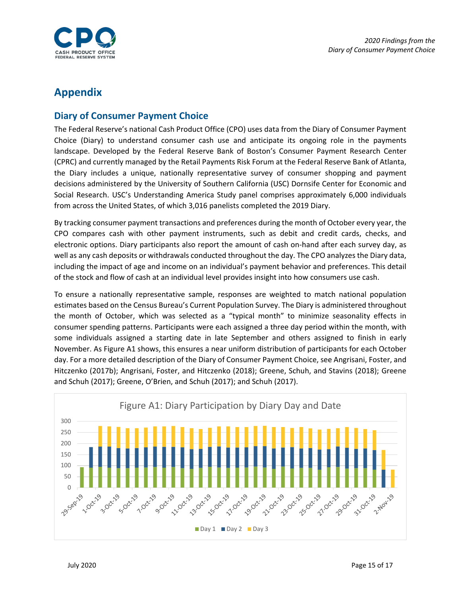

## **Appendix**

#### <span id="page-14-0"></span>**Diary of Consumer Payment Choice**

The Federal Reserve's national Cash Product Office (CPO) uses data from the Diary of Consumer Payment Choice (Diary) to understand consumer cash use and anticipate its ongoing role in the payments landscape. Developed by the Federal Reserve Bank of Boston's Consumer Payment Research Center (CPRC) and currently managed by the Retail Payments Risk Forum at the Federal Reserve Bank of Atlanta, the Diary includes a unique, nationally representative survey of consumer shopping and payment decisions administered by the University of Southern California (USC) Dornsife Center for Economic and Social Research. USC's Understanding America Study panel comprises approximately 6,000 individuals from across the United States, of which 3,016 panelists completed the 2019 Diary.

By tracking consumer payment transactions and preferences during the month of October every year, the CPO compares cash with other payment instruments, such as debit and credit cards, checks, and electronic options. Diary participants also report the amount of cash on-hand after each survey day, as well as any cash deposits or withdrawals conducted throughout the day. The CPO analyzes the Diary data, including the impact of age and income on an individual's payment behavior and preferences. This detail of the stock and flow of cash at an individual level provides insight into how consumers use cash.

To ensure a nationally representative sample, responses are weighted to match national population estimates based on the Census Bureau's Current Population Survey. The Diary is administered throughout the month of October, which was selected as a "typical month" to minimize seasonality effects in consumer spending patterns. Participants were each assigned a three day period within the month, with some individuals assigned a starting date in late September and others assigned to finish in early November. As Figure A1 shows, this ensures a near uniform distribution of participants for each October day. For a more detailed description of the Diary of Consumer Payment Choice, see Angrisani, Foster, and Hitczenko (2017b); Angrisani, Foster, and Hitczenko (2018); Greene, Schuh, and Stavins (2018); Greene and Schuh (2017); Greene, O'Brien, and Schuh (2017); and Schuh (2017).

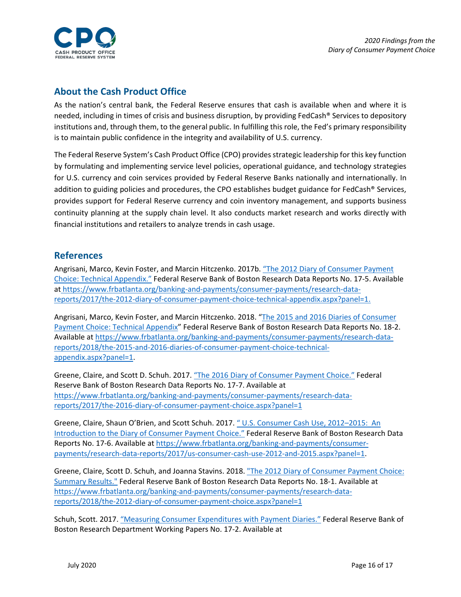

#### <span id="page-15-0"></span>**About the Cash Product Office**

As the nation's central bank, the Federal Reserve ensures that cash is available when and where it is needed, including in times of crisis and business disruption, by providing FedCash® Services to depository institutions and, through them, to the general public. In fulfilling this role, the Fed's primary responsibility is to maintain public confidence in the integrity and availability of U.S. currency.

The Federal Reserve System's Cash Product Office (CPO) provides strategic leadership for this key function by formulating and implementing service level policies, operational guidance, and technology strategies for U.S. currency and coin services provided by Federal Reserve Banks nationally and internationally. In addition to guiding policies and procedures, the CPO establishes budget guidance for FedCash® Services, provides support for Federal Reserve currency and coin inventory management, and supports business continuity planning at the supply chain level. It also conducts market research and works directly with financial institutions and retailers to analyze trends in cash usage.

#### <span id="page-15-1"></span>**References**

Angrisani, Marco, Kevin Foster, and Marcin Hitczenko. 2017b. ["The 2012 Diary of Consumer](https://www.frbatlanta.org/banking-and-payments/consumer-payments/research-data-reports/2017/the-2012-diary-of-consumer-payment-choice-technical-appendix.aspx?panel=1) Payment [Choice: Technical Appendix."](https://www.frbatlanta.org/banking-and-payments/consumer-payments/research-data-reports/2017/the-2012-diary-of-consumer-payment-choice-technical-appendix.aspx?panel=1) Federal Reserve Bank of Boston Research Data Reports No. 17-5. Available at [https://www.frbatlanta.org/banking-and-payments/consumer-payments/research-data](https://www.frbatlanta.org/banking-and-payments/consumer-payments/research-data-reports/2017/the-2012-diary-of-consumer-payment-choice-technical-appendix.aspx?panel=1)[reports/2017/the-2012-diary-of-consumer-payment-choice-technical-appendix.aspx?panel=1.](https://www.frbatlanta.org/banking-and-payments/consumer-payments/research-data-reports/2017/the-2012-diary-of-consumer-payment-choice-technical-appendix.aspx?panel=1)

Angrisani, Marco, Kevin Foster, and Marcin Hitczenko. 2018. ["The 2015 and 2016 Diaries of Consumer](https://www.frbatlanta.org/banking-and-payments/consumer-payments/research-data-reports/2018/the-2015-and-2016-diaries-of-consumer-payment-choice-technical-appendix.aspx?panel=1)  [Payment Choice: Technical Appendix"](https://www.frbatlanta.org/banking-and-payments/consumer-payments/research-data-reports/2018/the-2015-and-2016-diaries-of-consumer-payment-choice-technical-appendix.aspx?panel=1) Federal Reserve Bank of Boston Research Data Reports No. 18-2. Available a[t https://www.frbatlanta.org/banking-and-payments/consumer-payments/research-data](https://www.frbatlanta.org/banking-and-payments/consumer-payments/research-data-reports/2018/the-2015-and-2016-diaries-of-consumer-payment-choice-technical-appendix.aspx?panel=1)[reports/2018/the-2015-and-2016-diaries-of-consumer-payment-choice-technical](https://www.frbatlanta.org/banking-and-payments/consumer-payments/research-data-reports/2018/the-2015-and-2016-diaries-of-consumer-payment-choice-technical-appendix.aspx?panel=1)[appendix.aspx?panel=1.](https://www.frbatlanta.org/banking-and-payments/consumer-payments/research-data-reports/2018/the-2015-and-2016-diaries-of-consumer-payment-choice-technical-appendix.aspx?panel=1)

Greene, Claire, and Scott D. Schuh. 2017[. "The 2016 Diary of Consumer Payment Choice."](https://www.frbatlanta.org/banking-and-payments/consumer-payments/research-data-reports/2017/the-2016-diary-of-consumer-payment-choice.aspx?panel=1) Federal Reserve Bank of Boston Research Data Reports No. 17-7. Available at [https://www.frbatlanta.org/banking-and-payments/consumer-payments/research-data](https://www.frbatlanta.org/banking-and-payments/consumer-payments/research-data-reports/2017/the-2016-diary-of-consumer-payment-choice.aspx?panel=1)[reports/2017/the-2016-diary-of-consumer-payment-choice.aspx?panel=1](https://www.frbatlanta.org/banking-and-payments/consumer-payments/research-data-reports/2017/the-2016-diary-of-consumer-payment-choice.aspx?panel=1)

Greene, Claire, Shaun O'Brien, and Scott Schuh. 2017. [" U.S. Consumer Cash Use, 2012–2015: An](https://www.frbatlanta.org/banking-and-payments/consumer-payments/research-data-reports/2017/us-consumer-cash-use-2012-and-2015.aspx?panel=1)  [Introduction to the Diary of Consumer Payment Choice."](https://www.frbatlanta.org/banking-and-payments/consumer-payments/research-data-reports/2017/us-consumer-cash-use-2012-and-2015.aspx?panel=1) Federal Reserve Bank of Boston Research Data Reports No. 17-6. Available at [https://www.frbatlanta.org/banking-and-payments/consumer](https://www.frbatlanta.org/banking-and-payments/consumer-payments/research-data-reports/2017/us-consumer-cash-use-2012-and-2015.aspx?panel=1)[payments/research-data-reports/2017/us-consumer-cash-use-2012-and-2015.aspx?panel=1.](https://www.frbatlanta.org/banking-and-payments/consumer-payments/research-data-reports/2017/us-consumer-cash-use-2012-and-2015.aspx?panel=1)

Greene, Claire, Scott D. Schuh, and Joanna Stavins. 2018. ["The 2012 Diary of Consumer Payment Choice:](https://www.frbatlanta.org/banking-and-payments/consumer-payments/research-data-reports/2018/the-2012-diary-of-consumer-payment-choice.aspx?panel=1)  [Summary Results."](https://www.frbatlanta.org/banking-and-payments/consumer-payments/research-data-reports/2018/the-2012-diary-of-consumer-payment-choice.aspx?panel=1) Federal Reserve Bank of Boston Research Data Reports No. 18-1. Available at [https://www.frbatlanta.org/banking-and-payments/consumer-payments/research-data](https://www.frbatlanta.org/banking-and-payments/consumer-payments/research-data-reports/2018/the-2012-diary-of-consumer-payment-choice.aspx?panel=1)[reports/2018/the-2012-diary-of-consumer-payment-choice.aspx?panel=1](https://www.frbatlanta.org/banking-and-payments/consumer-payments/research-data-reports/2018/the-2012-diary-of-consumer-payment-choice.aspx?panel=1)

Schuh, Scott. 2017. ["Measuring Consumer Expenditures with Payment Diaries."](https://www.bostonfed.org/publications/research-department-working-paper/2017/measuring-consumer-expenditures-with-payment-diaries.aspx) Federal Reserve Bank of Boston Research Department Working Papers No. 17-2. Available at